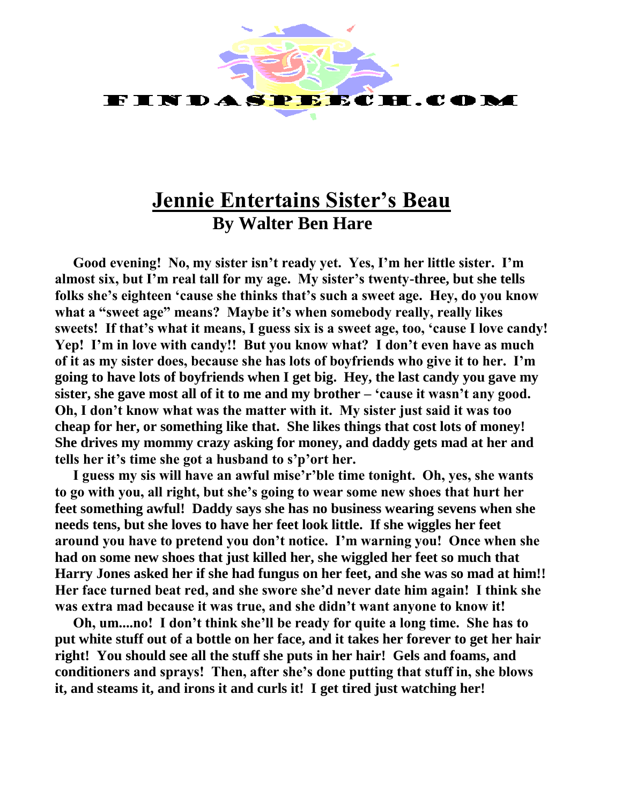

## **Jennie Entertains Sister's Beau By Walter Ben Hare**

**Good evening! No, my sister isn't ready yet. Yes, I'm her little sister. I'm almost six, but I'm real tall for my age. My sister's twenty-three, but she tells folks she's eighteen 'cause she thinks that's such a sweet age. Hey, do you know what a "sweet age" means? Maybe it's when somebody really, really likes sweets! If that's what it means, I guess six is a sweet age, too, 'cause I love candy! Yep! I'm in love with candy!! But you know what? I don't even have as much of it as my sister does, because she has lots of boyfriends who give it to her. I'm going to have lots of boyfriends when I get big. Hey, the last candy you gave my sister, she gave most all of it to me and my brother – 'cause it wasn't any good. Oh, I don't know what was the matter with it. My sister just said it was too cheap for her, or something like that. She likes things that cost lots of money! She drives my mommy crazy asking for money, and daddy gets mad at her and tells her it's time she got a husband to s'p'ort her.**

**I guess my sis will have an awful mise'r'ble time tonight. Oh, yes, she wants to go with you, all right, but she's going to wear some new shoes that hurt her feet something awful! Daddy says she has no business wearing sevens when she needs tens, but she loves to have her feet look little. If she wiggles her feet around you have to pretend you don't notice. I'm warning you! Once when she had on some new shoes that just killed her, she wiggled her feet so much that Harry Jones asked her if she had fungus on her feet, and she was so mad at him!! Her face turned beat red, and she swore she'd never date him again! I think she was extra mad because it was true, and she didn't want anyone to know it!** 

**Oh, um....no! I don't think she'll be ready for quite a long time. She has to put white stuff out of a bottle on her face, and it takes her forever to get her hair right! You should see all the stuff she puts in her hair! Gels and foams, and conditioners and sprays! Then, after she's done putting that stuff in, she blows it, and steams it, and irons it and curls it! I get tired just watching her!**